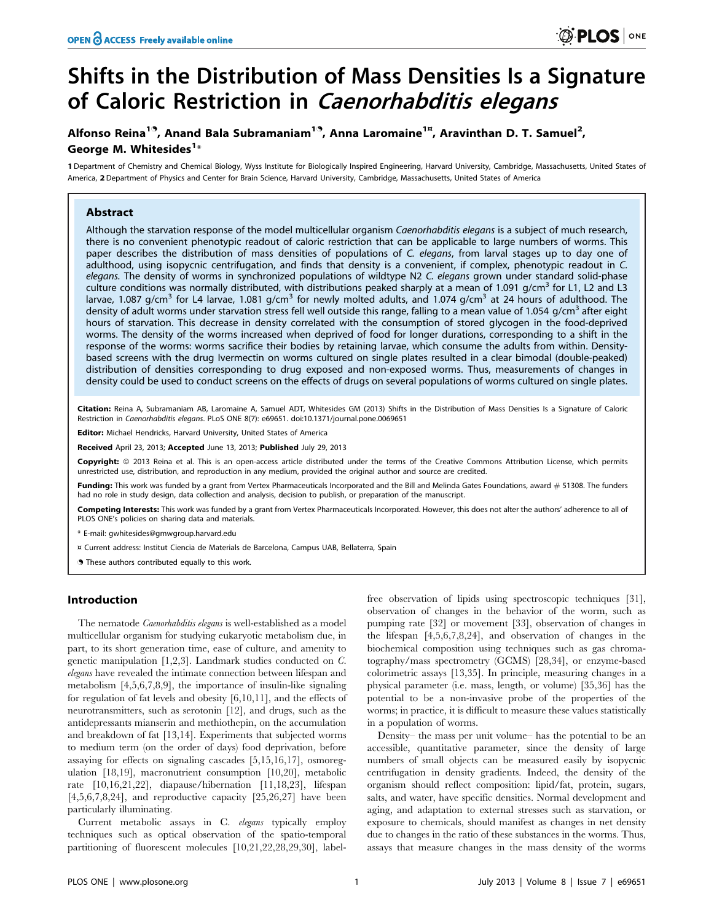# Shifts in the Distribution of Mass Densities Is a Signature of Caloric Restriction in Caenorhabditis elegans

# Alfonso Reina<sup>19</sup>, Anand Bala Subramaniam<sup>19</sup>, Anna Laromaine<sup>1¤</sup>, Aravinthan D. T. Samuel<sup>2</sup>, George M. Whitesides $^{1\ast}$

1 Department of Chemistry and Chemical Biology, Wyss Institute for Biologically Inspired Engineering, Harvard University, Cambridge, Massachusetts, United States of America, 2 Department of Physics and Center for Brain Science, Harvard University, Cambridge, Massachusetts, United States of America

# Abstract

Although the starvation response of the model multicellular organism Caenorhabditis elegans is a subject of much research, there is no convenient phenotypic readout of caloric restriction that can be applicable to large numbers of worms. This paper describes the distribution of mass densities of populations of C. elegans, from larval stages up to day one of adulthood, using isopycnic centrifugation, and finds that density is a convenient, if complex, phenotypic readout in C. elegans. The density of worms in synchronized populations of wildtype N2 C. elegans grown under standard solid-phase culture conditions was normally distributed, with distributions peaked sharply at a mean of 1.091  $q/cm^3$  for L1, L2 and L3 larvae, 1.087 g/cm<sup>3</sup> for L4 larvae, 1.081 g/cm<sup>3</sup> for newly molted adults, and 1.074 g/cm<sup>3</sup> at 24 hours of adulthood. The density of adult worms under starvation stress fell well outside this range, falling to a mean value of 1.054 g/cm<sup>3</sup> after eight hours of starvation. This decrease in density correlated with the consumption of stored glycogen in the food-deprived worms. The density of the worms increased when deprived of food for longer durations, corresponding to a shift in the response of the worms: worms sacrifice their bodies by retaining larvae, which consume the adults from within. Densitybased screens with the drug Ivermectin on worms cultured on single plates resulted in a clear bimodal (double-peaked) distribution of densities corresponding to drug exposed and non-exposed worms. Thus, measurements of changes in density could be used to conduct screens on the effects of drugs on several populations of worms cultured on single plates.

Citation: Reina A, Subramaniam AB, Laromaine A, Samuel ADT, Whitesides GM (2013) Shifts in the Distribution of Mass Densities Is a Signature of Caloric Restriction in Caenorhabditis elegans. PLoS ONE 8(7): e69651. doi:10.1371/journal.pone.0069651

Editor: Michael Hendricks, Harvard University, United States of America

Received April 23, 2013; Accepted June 13, 2013; Published July 29, 2013

Copyright: © 2013 Reina et al. This is an open-access article distributed under the terms of the Creative Commons Attribution License, which permits unrestricted use, distribution, and reproduction in any medium, provided the original author and source are credited.

Funding: This work was funded by a grant from Vertex Pharmaceuticals Incorporated and the Bill and Melinda Gates Foundations, award # 51308. The funders had no role in study design, data collection and analysis, decision to publish, or preparation of the manuscript.

Competing Interests: This work was funded by a grant from Vertex Pharmaceuticals Incorporated. However, this does not alter the authors' adherence to all of PLOS ONE's policies on sharing data and materials.

\* E-mail: gwhitesides@gmwgroup.harvard.edu

¤ Current address: Institut Ciencia de Materials de Barcelona, Campus UAB, Bellaterra, Spain

. These authors contributed equally to this work.

## Introduction

The nematode *Caenorhabditis elegans* is well-established as a model multicellular organism for studying eukaryotic metabolism due, in part, to its short generation time, ease of culture, and amenity to genetic manipulation [1,2,3]. Landmark studies conducted on C. elegans have revealed the intimate connection between lifespan and metabolism [4,5,6,7,8,9], the importance of insulin-like signaling for regulation of fat levels and obesity [6,10,11], and the effects of neurotransmitters, such as serotonin [12], and drugs, such as the antidepressants mianserin and methiothepin, on the accumulation and breakdown of fat [13,14]. Experiments that subjected worms to medium term (on the order of days) food deprivation, before assaying for effects on signaling cascades [5,15,16,17], osmoregulation [18,19], macronutrient consumption [10,20], metabolic rate [10,16,21,22], diapause/hibernation [11,18,23], lifespan  $[4,5,6,7,8,24]$ , and reproductive capacity  $[25,26,27]$  have been particularly illuminating.

Current metabolic assays in C. elegans typically employ techniques such as optical observation of the spatio-temporal partitioning of fluorescent molecules [10,21,22,28,29,30], labelfree observation of lipids using spectroscopic techniques [31], observation of changes in the behavior of the worm, such as pumping rate [32] or movement [33], observation of changes in the lifespan [4,5,6,7,8,24], and observation of changes in the biochemical composition using techniques such as gas chromatography/mass spectrometry (GCMS) [28,34], or enzyme-based colorimetric assays [13,35]. In principle, measuring changes in a physical parameter (i.e. mass, length, or volume) [35,36] has the potential to be a non-invasive probe of the properties of the worms; in practice, it is difficult to measure these values statistically in a population of worms.

Density– the mass per unit volume– has the potential to be an accessible, quantitative parameter, since the density of large numbers of small objects can be measured easily by isopycnic centrifugation in density gradients. Indeed, the density of the organism should reflect composition: lipid/fat, protein, sugars, salts, and water, have specific densities. Normal development and aging, and adaptation to external stresses such as starvation, or exposure to chemicals, should manifest as changes in net density due to changes in the ratio of these substances in the worms. Thus, assays that measure changes in the mass density of the worms

 $\circledS$  PLOS  $|$  one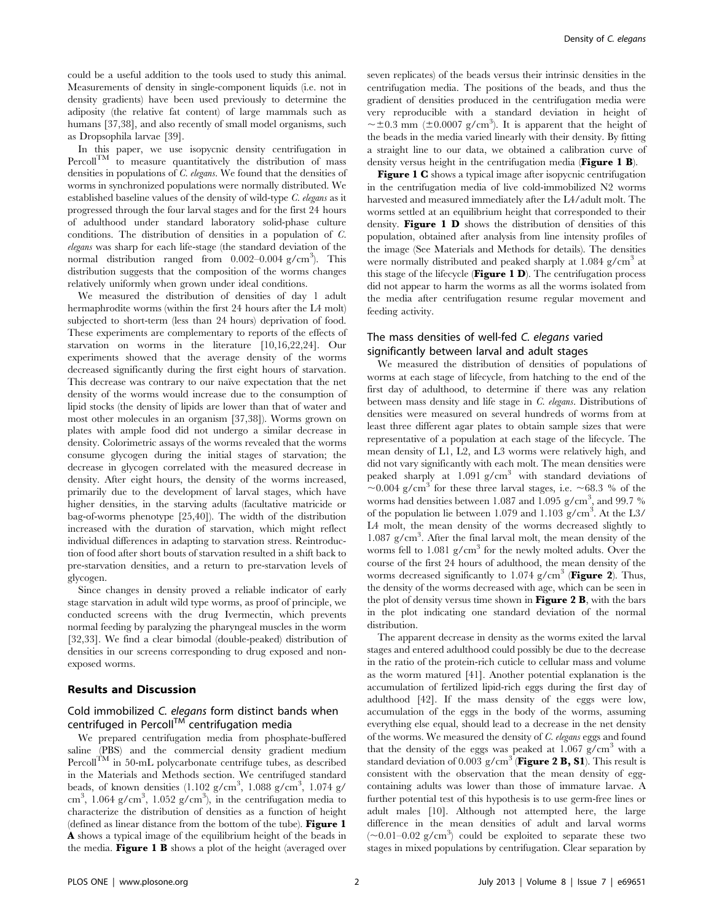could be a useful addition to the tools used to study this animal. Measurements of density in single-component liquids (i.e. not in density gradients) have been used previously to determine the adiposity (the relative fat content) of large mammals such as humans [37,38], and also recently of small model organisms, such as Dropsophila larvae [39].

In this paper, we use isopycnic density centrifugation in  $\text{Percoll}^{\text{TM}}$  to measure quantitatively the distribution of mass densities in populations of C. elegans. We found that the densities of worms in synchronized populations were normally distributed. We established baseline values of the density of wild-type C. elegans as it progressed through the four larval stages and for the first 24 hours of adulthood under standard laboratory solid-phase culture conditions. The distribution of densities in a population of C. elegans was sharp for each life-stage (the standard deviation of the normal distribution ranged from  $0.002 - 0.004$  g/cm<sup>3</sup>). This distribution suggests that the composition of the worms changes relatively uniformly when grown under ideal conditions.

We measured the distribution of densities of day 1 adult hermaphrodite worms (within the first 24 hours after the L4 molt) subjected to short-term (less than 24 hours) deprivation of food. These experiments are complementary to reports of the effects of starvation on worms in the literature [10,16,22,24]. Our experiments showed that the average density of the worms decreased significantly during the first eight hours of starvation. This decrease was contrary to our naïve expectation that the net density of the worms would increase due to the consumption of lipid stocks (the density of lipids are lower than that of water and most other molecules in an organism [37,38]). Worms grown on plates with ample food did not undergo a similar decrease in density. Colorimetric assays of the worms revealed that the worms consume glycogen during the initial stages of starvation; the decrease in glycogen correlated with the measured decrease in density. After eight hours, the density of the worms increased, primarily due to the development of larval stages, which have higher densities, in the starving adults (facultative matricide or bag-of-worms phenotype [25,40]). The width of the distribution increased with the duration of starvation, which might reflect individual differences in adapting to starvation stress. Reintroduction of food after short bouts of starvation resulted in a shift back to pre-starvation densities, and a return to pre-starvation levels of glycogen.

Since changes in density proved a reliable indicator of early stage starvation in adult wild type worms, as proof of principle, we conducted screens with the drug Ivermectin, which prevents normal feeding by paralyzing the pharyngeal muscles in the worm [32,33]. We find a clear bimodal (double-peaked) distribution of densities in our screens corresponding to drug exposed and nonexposed worms.

# Results and Discussion

# Cold immobilized C. elegans form distinct bands when centrifuged in Percoll $T^M$  centrifugation media

We prepared centrifugation media from phosphate-buffered saline (PBS) and the commercial density gradient medium Percoll<sup>TM</sup> in 50-mL polycarbonate centrifuge tubes, as described in the Materials and Methods section. We centrifuged standard beads, of known densities  $(1.102 \text{ g/cm}^3, 1.088 \text{ g/cm}^3, 1.074 \text{ g/m}^3)$ cm<sup>3</sup>, 1.064 g/cm<sup>3</sup>, 1.052 g/cm<sup>3</sup>), in the centrifugation media to characterize the distribution of densities as a function of height (defined as linear distance from the bottom of the tube). Figure 1 A shows a typical image of the equilibrium height of the beads in the media. Figure 1 B shows a plot of the height (averaged over

seven replicates) of the beads versus their intrinsic densities in the centrifugation media. The positions of the beads, and thus the gradient of densities produced in the centrifugation media were very reproducible with a standard deviation in height of  $\sim \pm 0.3$  mm ( $\pm 0.0007$  g/cm<sup>3</sup>). It is apparent that the height of the beads in the media varied linearly with their density. By fitting a straight line to our data, we obtained a calibration curve of density versus height in the centrifugation media (Figure 1 B).

Figure 1 C shows a typical image after isopycnic centrifugation in the centrifugation media of live cold-immobilized N2 worms harvested and measured immediately after the L4/adult molt. The worms settled at an equilibrium height that corresponded to their density. **Figure 1 D** shows the distribution of densities of this population, obtained after analysis from line intensity profiles of the image (See Materials and Methods for details). The densities were normally distributed and peaked sharply at  $1.084$  g/cm<sup>3</sup> at this stage of the lifecycle ( $Figure 1 D$ ). The centrifugation process did not appear to harm the worms as all the worms isolated from the media after centrifugation resume regular movement and feeding activity.

# The mass densities of well-fed C. elegans varied significantly between larval and adult stages

We measured the distribution of densities of populations of worms at each stage of lifecycle, from hatching to the end of the first day of adulthood, to determine if there was any relation between mass density and life stage in C. elegans. Distributions of densities were measured on several hundreds of worms from at least three different agar plates to obtain sample sizes that were representative of a population at each stage of the lifecycle. The mean density of L1, L2, and L3 worms were relatively high, and did not vary significantly with each molt. The mean densities were peaked sharply at  $1.091$  g/cm<sup>3</sup> with standard deviations of  $\sim 0.004$  g/cm<sup>3</sup> for these three larval stages, i.e.  $\sim 68.3$  % of the worms had densities between 1.087 and 1.095 g/cm<sup>3</sup>, and 99.7 % of the population lie between 1.079 and 1.103 g/cm<sup>3</sup>. At the L3/ L4 molt, the mean density of the worms decreased slightly to 1.087 g/cm3 . After the final larval molt, the mean density of the worms fell to  $1.081$  g/cm<sup>3</sup> for the newly molted adults. Over the course of the first 24 hours of adulthood, the mean density of the worms decreased significantly to  $1.074$  g/cm<sup>3</sup> (Figure 2). Thus, the density of the worms decreased with age, which can be seen in the plot of density versus time shown in **Figure 2 B**, with the bars in the plot indicating one standard deviation of the normal distribution.

The apparent decrease in density as the worms exited the larval stages and entered adulthood could possibly be due to the decrease in the ratio of the protein-rich cuticle to cellular mass and volume as the worm matured [41]. Another potential explanation is the accumulation of fertilized lipid-rich eggs during the first day of adulthood [42]. If the mass density of the eggs were low, accumulation of the eggs in the body of the worms, assuming everything else equal, should lead to a decrease in the net density of the worms. We measured the density of C. elegans eggs and found that the density of the eggs was peaked at  $1.067$  g/cm<sup>3</sup> with a standard deviation of 0.003 g/cm<sup>3</sup> (Figure 2 B, S1). This result is consistent with the observation that the mean density of eggcontaining adults was lower than those of immature larvae. A further potential test of this hypothesis is to use germ-free lines or adult males [10]. Although not attempted here, the large difference in the mean densities of adult and larval worms  $(\sim 0.01 - 0.02 \text{ g/cm}^3)$  could be exploited to separate these two stages in mixed populations by centrifugation. Clear separation by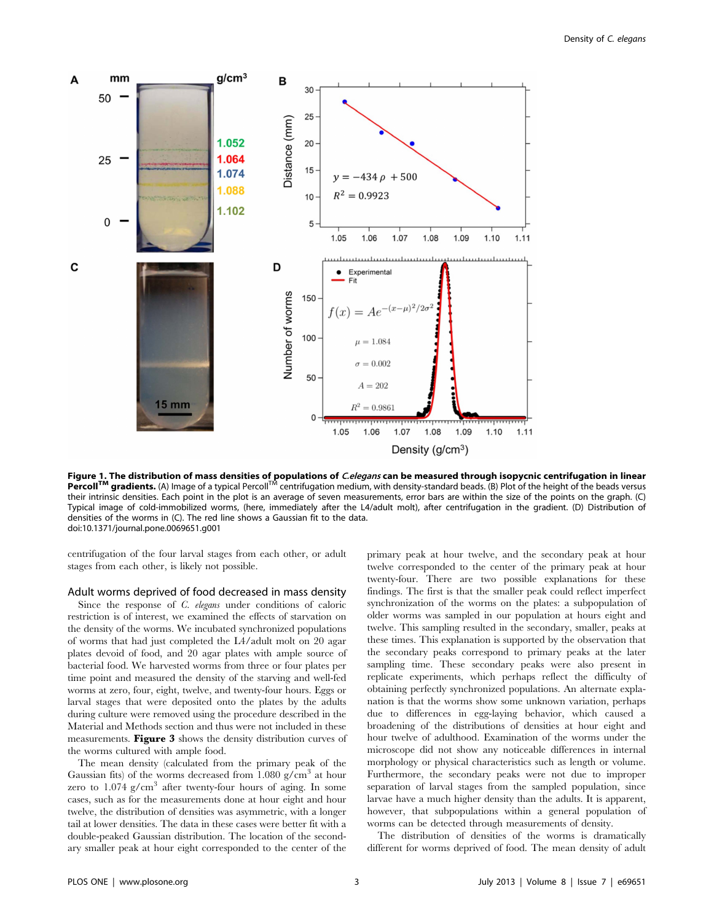

Figure 1. The distribution of mass densities of populations of *C.elegans* can be measured through isopycnic centrifugation in linear<br>Percoll<sup>TM</sup> gradients. (A) Image of a typical Percoll<sup>TM</sup> centrifugation medium, with de their intrinsic densities. Each point in the plot is an average of seven measurements, error bars are within the size of the points on the graph. (C) Typical image of cold-immobilized worms, (here, immediately after the L4/adult molt), after centrifugation in the gradient. (D) Distribution of densities of the worms in (C). The red line shows a Gaussian fit to the data. doi:10.1371/journal.pone.0069651.g001

centrifugation of the four larval stages from each other, or adult stages from each other, is likely not possible.

#### Adult worms deprived of food decreased in mass density

Since the response of C. elegans under conditions of caloric restriction is of interest, we examined the effects of starvation on the density of the worms. We incubated synchronized populations of worms that had just completed the L4/adult molt on 20 agar plates devoid of food, and 20 agar plates with ample source of bacterial food. We harvested worms from three or four plates per time point and measured the density of the starving and well-fed worms at zero, four, eight, twelve, and twenty-four hours. Eggs or larval stages that were deposited onto the plates by the adults during culture were removed using the procedure described in the Material and Methods section and thus were not included in these measurements. Figure 3 shows the density distribution curves of the worms cultured with ample food.

The mean density (calculated from the primary peak of the Gaussian fits) of the worms decreased from  $1.080$  g/cm<sup>3</sup> at hour zero to 1.074 g/cm<sup>3</sup> after twenty-four hours of aging. In some cases, such as for the measurements done at hour eight and hour twelve, the distribution of densities was asymmetric, with a longer tail at lower densities. The data in these cases were better fit with a double-peaked Gaussian distribution. The location of the secondary smaller peak at hour eight corresponded to the center of the primary peak at hour twelve, and the secondary peak at hour twelve corresponded to the center of the primary peak at hour twenty-four. There are two possible explanations for these findings. The first is that the smaller peak could reflect imperfect synchronization of the worms on the plates: a subpopulation of older worms was sampled in our population at hours eight and twelve. This sampling resulted in the secondary, smaller, peaks at these times. This explanation is supported by the observation that the secondary peaks correspond to primary peaks at the later sampling time. These secondary peaks were also present in replicate experiments, which perhaps reflect the difficulty of obtaining perfectly synchronized populations. An alternate explanation is that the worms show some unknown variation, perhaps due to differences in egg-laying behavior, which caused a broadening of the distributions of densities at hour eight and hour twelve of adulthood. Examination of the worms under the microscope did not show any noticeable differences in internal morphology or physical characteristics such as length or volume. Furthermore, the secondary peaks were not due to improper separation of larval stages from the sampled population, since larvae have a much higher density than the adults. It is apparent, however, that subpopulations within a general population of worms can be detected through measurements of density.

The distribution of densities of the worms is dramatically different for worms deprived of food. The mean density of adult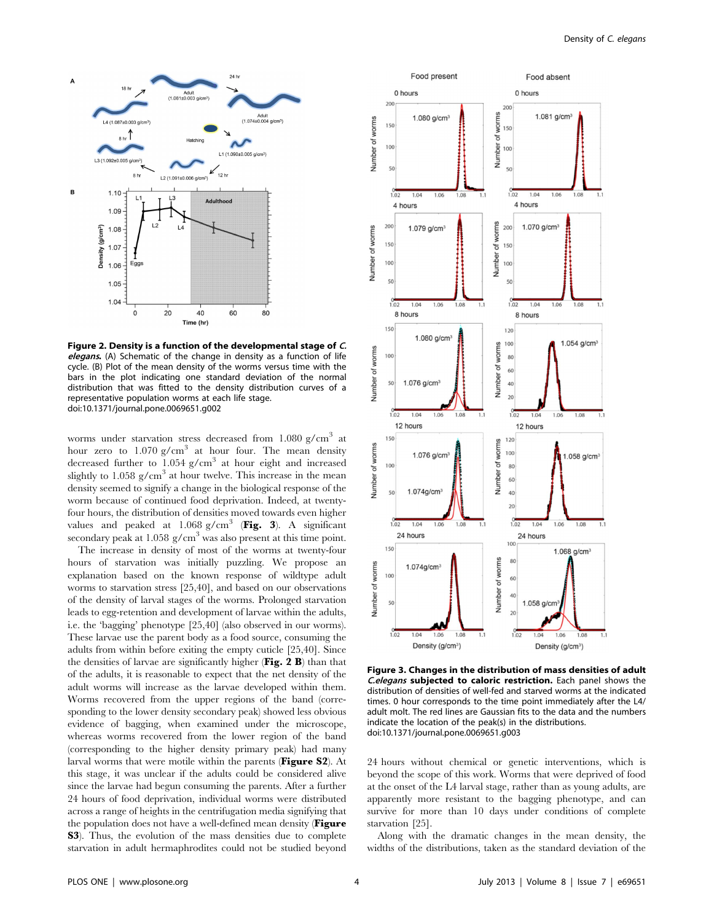

Figure 2. Density is a function of the developmental stage of C. elegans. (A) Schematic of the change in density as a function of life cycle. (B) Plot of the mean density of the worms versus time with the bars in the plot indicating one standard deviation of the normal distribution that was fitted to the density distribution curves of a representative population worms at each life stage. doi:10.1371/journal.pone.0069651.g002

worms under starvation stress decreased from  $1.080$  g/cm<sup>3</sup> at hour zero to  $1.070$  g/cm<sup>3</sup> at hour four. The mean density decreased further to  $1.054$  g/cm<sup>3</sup> at hour eight and increased slightly to 1.058  $g/cm<sup>3</sup>$  at hour twelve. This increase in the mean density seemed to signify a change in the biological response of the worm because of continued food deprivation. Indeed, at twentyfour hours, the distribution of densities moved towards even higher values and peaked at  $1.068$  g/cm<sup>3</sup> (Fig. 3). A significant secondary peak at 1.058  $g/cm<sup>3</sup>$  was also present at this time point.

The increase in density of most of the worms at twenty-four hours of starvation was initially puzzling. We propose an explanation based on the known response of wildtype adult worms to starvation stress [25,40], and based on our observations of the density of larval stages of the worms. Prolonged starvation leads to egg-retention and development of larvae within the adults, i.e. the 'bagging' phenotype [25,40] (also observed in our worms). These larvae use the parent body as a food source, consuming the adults from within before exiting the empty cuticle [25,40]. Since the densities of larvae are significantly higher ( $\text{Fig. 2 B}$ ) than that of the adults, it is reasonable to expect that the net density of the adult worms will increase as the larvae developed within them. Worms recovered from the upper regions of the band (corresponding to the lower density secondary peak) showed less obvious evidence of bagging, when examined under the microscope, whereas worms recovered from the lower region of the band (corresponding to the higher density primary peak) had many larval worms that were motile within the parents (Figure S2). At this stage, it was unclear if the adults could be considered alive since the larvae had begun consuming the parents. After a further 24 hours of food deprivation, individual worms were distributed across a range of heights in the centrifugation media signifying that the population does not have a well-defined mean density (Figure S3). Thus, the evolution of the mass densities due to complete starvation in adult hermaphrodites could not be studied beyond



Figure 3. Changes in the distribution of mass densities of adult C.elegans subjected to caloric restriction. Each panel shows the distribution of densities of well-fed and starved worms at the indicated times. 0 hour corresponds to the time point immediately after the L4/ adult molt. The red lines are Gaussian fits to the data and the numbers indicate the location of the peak(s) in the distributions. doi:10.1371/journal.pone.0069651.g003

24 hours without chemical or genetic interventions, which is beyond the scope of this work. Worms that were deprived of food at the onset of the L4 larval stage, rather than as young adults, are apparently more resistant to the bagging phenotype, and can survive for more than 10 days under conditions of complete starvation [25].

Along with the dramatic changes in the mean density, the widths of the distributions, taken as the standard deviation of the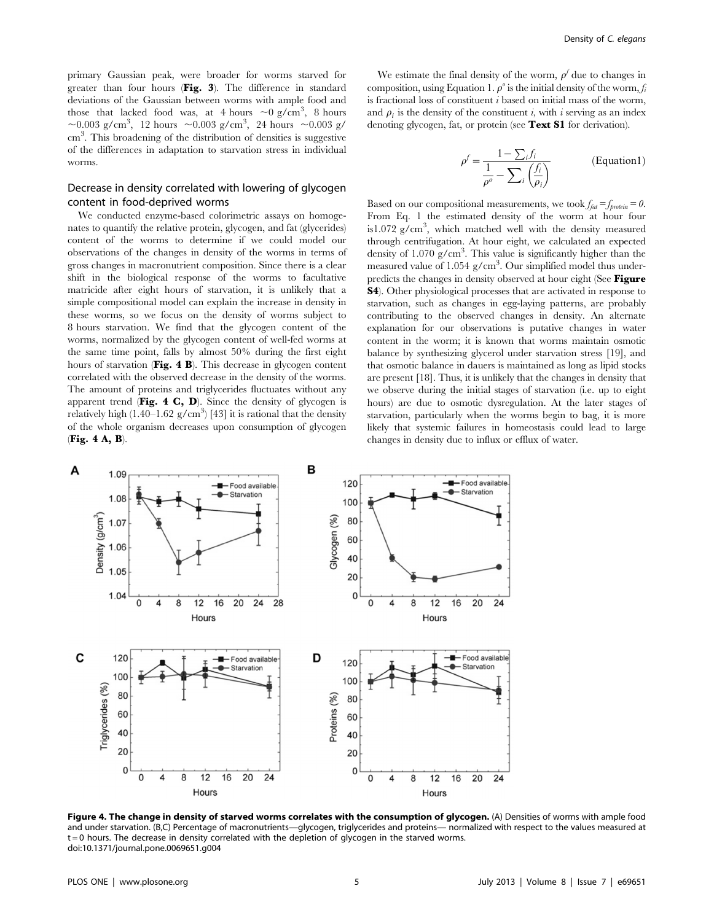primary Gaussian peak, were broader for worms starved for greater than four hours (Fig. 3). The difference in standard deviations of the Gaussian between worms with ample food and those that lacked food was, at 4 hours  $\sim 0$  g/cm<sup>3</sup>, 8 hours ~0.003 g/cm<sup>3</sup>, 12 hours ~0.003 g/cm<sup>3</sup>, 24 hours ~0.003 g/ cm<sup>3</sup>. This broadening of the distribution of densities is suggestive of the differences in adaptation to starvation stress in individual worms.

# Decrease in density correlated with lowering of glycogen content in food-deprived worms

We conducted enzyme-based colorimetric assays on homogenates to quantify the relative protein, glycogen, and fat (glycerides) content of the worms to determine if we could model our observations of the changes in density of the worms in terms of gross changes in macronutrient composition. Since there is a clear shift in the biological response of the worms to facultative matricide after eight hours of starvation, it is unlikely that a simple compositional model can explain the increase in density in these worms, so we focus on the density of worms subject to 8 hours starvation. We find that the glycogen content of the worms, normalized by the glycogen content of well-fed worms at the same time point, falls by almost 50% during the first eight hours of starvation (Fig. 4 B). This decrease in glycogen content correlated with the observed decrease in the density of the worms. The amount of proteins and triglycerides fluctuates without any apparent trend (Fig. 4 C, D). Since the density of glycogen is relatively high  $(1.40-1.62 \text{ g/cm}^3)$  [43] it is rational that the density of the whole organism decreases upon consumption of glycogen (Fig. 4 A, B).

We estimate the final density of the worm,  $\rho^f$  due to changes in composition, using Equation 1.  $\rho^{\circ}$  is the initial density of the worm, f is fractional loss of constituent  $i$  based on initial mass of the worm, and  $\rho_i$  is the density of the constituent i, with i serving as an index denoting glycogen, fat, or protein (see Text S1 for derivation).

$$
\rho^f = \frac{1 - \sum_i f_i}{\frac{1}{\rho^o} - \sum_i \left(\frac{f_i}{\rho_i}\right)}
$$
 (Equation1)

Based on our compositional measurements, we took  $f_{fat} = f_{protein} = 0$ . From Eq. 1 the estimated density of the worm at hour four is1.072  $g/cm^3$ , which matched well with the density measured through centrifugation. At hour eight, we calculated an expected density of  $1.070$  g/cm<sup>3</sup>. This value is significantly higher than the measured value of 1.054 g/cm<sup>3</sup>. Our simplified model thus underpredicts the changes in density observed at hour eight (See Figure S4). Other physiological processes that are activated in response to starvation, such as changes in egg-laying patterns, are probably contributing to the observed changes in density. An alternate explanation for our observations is putative changes in water content in the worm; it is known that worms maintain osmotic balance by synthesizing glycerol under starvation stress [19], and that osmotic balance in dauers is maintained as long as lipid stocks are present [18]. Thus, it is unlikely that the changes in density that we observe during the initial stages of starvation (i.e. up to eight hours) are due to osmotic dysregulation. At the later stages of starvation, particularly when the worms begin to bag, it is more likely that systemic failures in homeostasis could lead to large changes in density due to influx or efflux of water.



Figure 4. The change in density of starved worms correlates with the consumption of glycogen. (A) Densities of worms with ample food and under starvation. (B,C) Percentage of macronutrients—glycogen, triglycerides and proteins— normalized with respect to the values measured at t = 0 hours. The decrease in density correlated with the depletion of glycogen in the starved worms. doi:10.1371/journal.pone.0069651.g004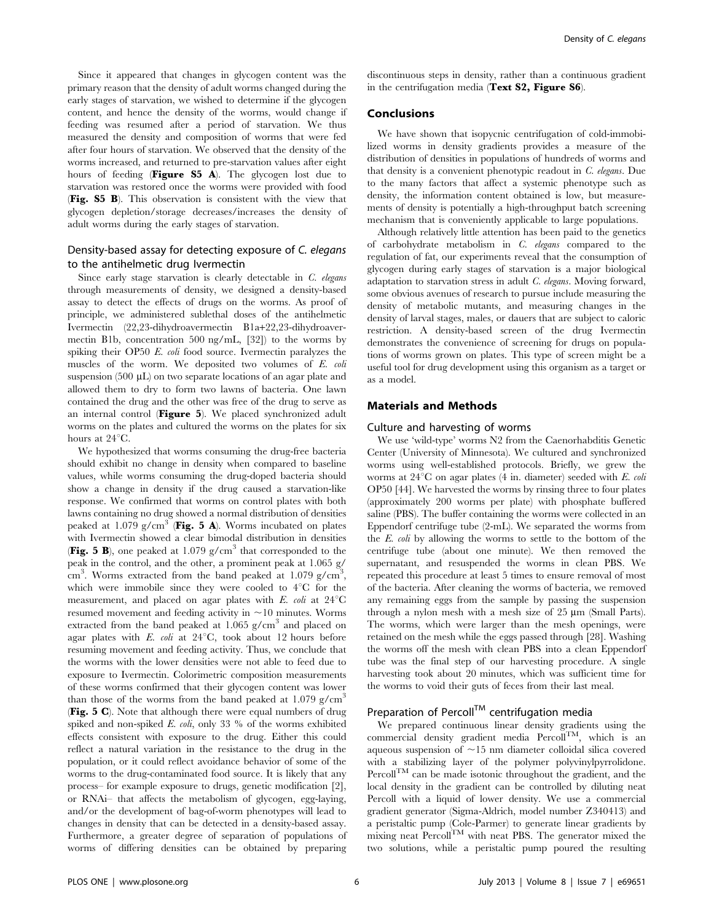Since it appeared that changes in glycogen content was the primary reason that the density of adult worms changed during the early stages of starvation, we wished to determine if the glycogen content, and hence the density of the worms, would change if feeding was resumed after a period of starvation. We thus measured the density and composition of worms that were fed after four hours of starvation. We observed that the density of the worms increased, and returned to pre-starvation values after eight hours of feeding (Figure S5 A). The glycogen lost due to starvation was restored once the worms were provided with food (Fig. S5 B). This observation is consistent with the view that glycogen depletion/storage decreases/increases the density of adult worms during the early stages of starvation.

# Density-based assay for detecting exposure of C. elegans to the antihelmetic drug Ivermectin

Since early stage starvation is clearly detectable in  $C$ . elegans through measurements of density, we designed a density-based assay to detect the effects of drugs on the worms. As proof of principle, we administered sublethal doses of the antihelmetic Ivermectin (22,23-dihydroavermectin B1a+22,23-dihydroavermectin B1b, concentration 500 ng/mL, [32]) to the worms by spiking their OP50 E. *coli* food source. Ivermectin paralyzes the muscles of the worm. We deposited two volumes of E. coli suspension (500  $\mu$ L) on two separate locations of an agar plate and allowed them to dry to form two lawns of bacteria. One lawn contained the drug and the other was free of the drug to serve as an internal control (Figure 5). We placed synchronized adult worms on the plates and cultured the worms on the plates for six hours at  $24^{\circ}$ C.

We hypothesized that worms consuming the drug-free bacteria should exhibit no change in density when compared to baseline values, while worms consuming the drug-doped bacteria should show a change in density if the drug caused a starvation-like response. We confirmed that worms on control plates with both lawns containing no drug showed a normal distribution of densities peaked at 1.079 g/cm<sup>3</sup> (Fig. 5 A). Worms incubated on plates with Ivermectin showed a clear bimodal distribution in densities **(Fig. 5 B)**, one peaked at 1.079 g/cm<sup>3</sup> that corresponded to the peak in the control, and the other, a prominent peak at 1.065 g/  $\text{cm}^3$ . Worms extracted from the band peaked at 1.079 g/cm<sup>3</sup>, which were immobile since they were cooled to  $4^{\circ}C$  for the measurement, and placed on agar plates with  $E$ . *coli* at  $24^{\circ}$ C resumed movement and feeding activity in  $\sim$ 10 minutes. Worms extracted from the band peaked at  $1.065$  g/cm<sup>3</sup> and placed on agar plates with  $E.$  coli at  $24^{\circ}$ C, took about 12 hours before resuming movement and feeding activity. Thus, we conclude that the worms with the lower densities were not able to feed due to exposure to Ivermectin. Colorimetric composition measurements of these worms confirmed that their glycogen content was lower than those of the worms from the band peaked at  $1.079$  g/cm<sup>3</sup> (Fig. 5 C). Note that although there were equal numbers of drug spiked and non-spiked  $E.$  coli, only 33 % of the worms exhibited effects consistent with exposure to the drug. Either this could reflect a natural variation in the resistance to the drug in the population, or it could reflect avoidance behavior of some of the worms to the drug-contaminated food source. It is likely that any process– for example exposure to drugs, genetic modification [2], or RNAi– that affects the metabolism of glycogen, egg-laying, and/or the development of bag-of-worm phenotypes will lead to changes in density that can be detected in a density-based assay. Furthermore, a greater degree of separation of populations of worms of differing densities can be obtained by preparing discontinuous steps in density, rather than a continuous gradient in the centrifugation media (Text S2, Figure S6).

### Conclusions

We have shown that isopycnic centrifugation of cold-immobilized worms in density gradients provides a measure of the distribution of densities in populations of hundreds of worms and that density is a convenient phenotypic readout in C. elegans. Due to the many factors that affect a systemic phenotype such as density, the information content obtained is low, but measurements of density is potentially a high-throughput batch screening mechanism that is conveniently applicable to large populations.

Although relatively little attention has been paid to the genetics of carbohydrate metabolism in C. elegans compared to the regulation of fat, our experiments reveal that the consumption of glycogen during early stages of starvation is a major biological adaptation to starvation stress in adult C. elegans. Moving forward, some obvious avenues of research to pursue include measuring the density of metabolic mutants, and measuring changes in the density of larval stages, males, or dauers that are subject to caloric restriction. A density-based screen of the drug Ivermectin demonstrates the convenience of screening for drugs on populations of worms grown on plates. This type of screen might be a useful tool for drug development using this organism as a target or as a model.

# Materials and Methods

### Culture and harvesting of worms

We use 'wild-type' worms N2 from the Caenorhabditis Genetic Center (University of Minnesota). We cultured and synchronized worms using well-established protocols. Briefly, we grew the worms at  $24^{\circ}$ C on agar plates (4 in. diameter) seeded with E. coli OP50 [44]. We harvested the worms by rinsing three to four plates (approximately 200 worms per plate) with phosphate buffered saline (PBS). The buffer containing the worms were collected in an Eppendorf centrifuge tube (2-mL). We separated the worms from the E. coli by allowing the worms to settle to the bottom of the centrifuge tube (about one minute). We then removed the supernatant, and resuspended the worms in clean PBS. We repeated this procedure at least 5 times to ensure removal of most of the bacteria. After cleaning the worms of bacteria, we removed any remaining eggs from the sample by passing the suspension through a nylon mesh with a mesh size of  $25 \mu m$  (Small Parts). The worms, which were larger than the mesh openings, were retained on the mesh while the eggs passed through [28]. Washing the worms off the mesh with clean PBS into a clean Eppendorf tube was the final step of our harvesting procedure. A single harvesting took about 20 minutes, which was sufficient time for the worms to void their guts of feces from their last meal.

# Preparation of Percoll<sup>TM</sup> centrifugation media

We prepared continuous linear density gradients using the commercial density gradient media  $\text{Percoll}^{\text{TM}}$ , which is an aqueous suspension of  $\sim$ 15 nm diameter colloidal silica covered with a stabilizing layer of the polymer polyvinylpyrrolidone. Percoll<sup>TM</sup> can be made isotonic throughout the gradient, and the local density in the gradient can be controlled by diluting neat Percoll with a liquid of lower density. We use a commercial gradient generator (Sigma-Aldrich, model number Z340413) and a peristaltic pump (Cole-Parmer) to generate linear gradients by mixing neat  $Percoll<sup>TM</sup>$  with neat PBS. The generator mixed the two solutions, while a peristaltic pump poured the resulting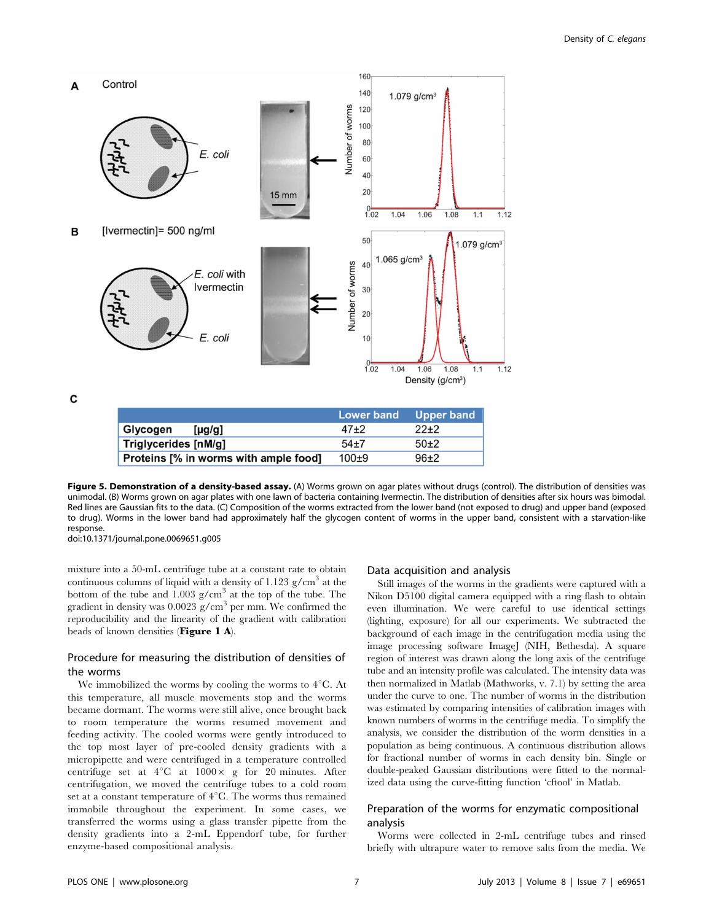

Figure 5. Demonstration of a density-based assay. (A) Worms grown on agar plates without drugs (control). The distribution of densities was unimodal. (B) Worms grown on agar plates with one lawn of bacteria containing Ivermectin. The distribution of densities after six hours was bimodal. Red lines are Gaussian fits to the data. (C) Composition of the worms extracted from the lower band (not exposed to drug) and upper band (exposed to drug). Worms in the lower band had approximately half the glycogen content of worms in the upper band, consistent with a starvation-like response. doi:10.1371/journal.pone.0069651.g005

mixture into a 50-mL centrifuge tube at a constant rate to obtain continuous columns of liquid with a density of  $1.123$  g/cm<sup>3</sup> at the bottom of the tube and  $1.003$  g/cm<sup>3</sup> at the top of the tube. The gradient in density was  $0.0023$  g/cm<sup>3</sup> per mm. We confirmed the reproducibility and the linearity of the gradient with calibration beads of known densities (Figure 1 A).

# Procedure for measuring the distribution of densities of the worms

We immobilized the worms by cooling the worms to  $4^{\circ}$ C. At this temperature, all muscle movements stop and the worms became dormant. The worms were still alive, once brought back to room temperature the worms resumed movement and feeding activity. The cooled worms were gently introduced to the top most layer of pre-cooled density gradients with a micropipette and were centrifuged in a temperature controlled centrifuge set at  $4^{\circ}$ C at  $1000 \times$  g for 20 minutes. After centrifugation, we moved the centrifuge tubes to a cold room set at a constant temperature of  $4^{\circ}$ C. The worms thus remained immobile throughout the experiment. In some cases, we transferred the worms using a glass transfer pipette from the density gradients into a 2-mL Eppendorf tube, for further enzyme-based compositional analysis.

### Data acquisition and analysis

Still images of the worms in the gradients were captured with a Nikon D5100 digital camera equipped with a ring flash to obtain even illumination. We were careful to use identical settings (lighting, exposure) for all our experiments. We subtracted the background of each image in the centrifugation media using the image processing software ImageJ (NIH, Bethesda). A square region of interest was drawn along the long axis of the centrifuge tube and an intensity profile was calculated. The intensity data was then normalized in Matlab (Mathworks, v. 7.1) by setting the area under the curve to one. The number of worms in the distribution was estimated by comparing intensities of calibration images with known numbers of worms in the centrifuge media. To simplify the analysis, we consider the distribution of the worm densities in a population as being continuous. A continuous distribution allows for fractional number of worms in each density bin. Single or double-peaked Gaussian distributions were fitted to the normalized data using the curve-fitting function 'cftool' in Matlab.

# Preparation of the worms for enzymatic compositional analysis

Worms were collected in 2-mL centrifuge tubes and rinsed briefly with ultrapure water to remove salts from the media. We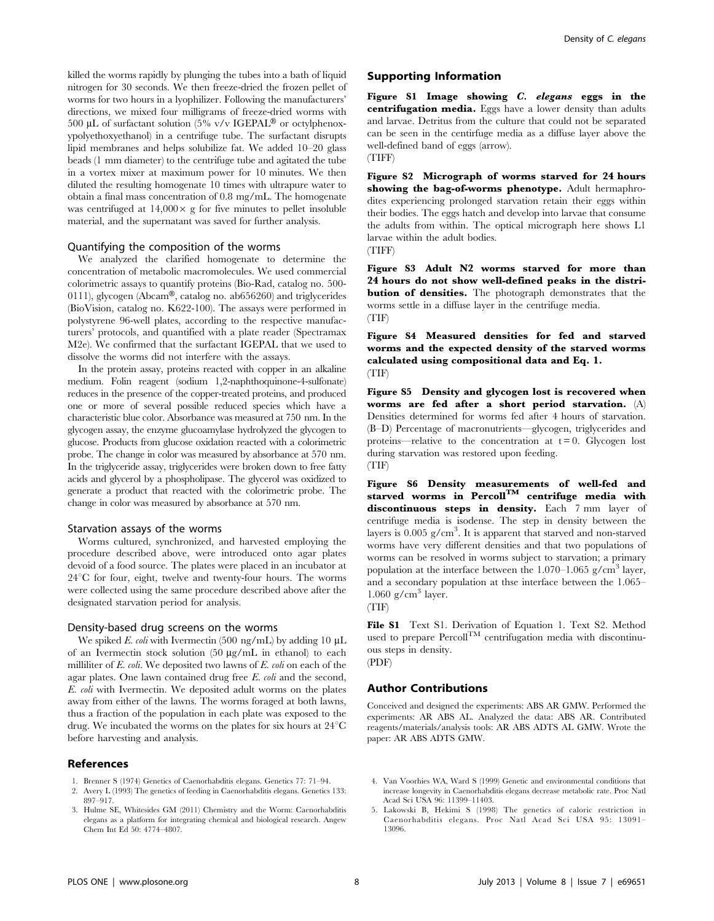killed the worms rapidly by plunging the tubes into a bath of liquid nitrogen for 30 seconds. We then freeze-dried the frozen pellet of worms for two hours in a lyophilizer. Following the manufacturers' directions, we mixed four milligrams of freeze-dried worms with 500 µL of surfactant solution (5% v/v IGEPAL<sup>®</sup> or octylphenoxypolyethoxyethanol) in a centrifuge tube. The surfactant disrupts lipid membranes and helps solubilize fat. We added 10–20 glass beads (1 mm diameter) to the centrifuge tube and agitated the tube in a vortex mixer at maximum power for 10 minutes. We then diluted the resulting homogenate 10 times with ultrapure water to obtain a final mass concentration of 0.8 mg/mL. The homogenate was centrifuged at  $14,000 \times g$  for five minutes to pellet insoluble material, and the supernatant was saved for further analysis.

### Quantifying the composition of the worms

We analyzed the clarified homogenate to determine the concentration of metabolic macromolecules. We used commercial colorimetric assays to quantify proteins (Bio-Rad, catalog no. 500- 0111), glycogen (Abcam®, catalog no. ab656260) and triglycerides (BioVision, catalog no. K622-100). The assays were performed in polystyrene 96-well plates, according to the respective manufacturers' protocols, and quantified with a plate reader (Spectramax M2e). We confirmed that the surfactant IGEPAL that we used to dissolve the worms did not interfere with the assays.

In the protein assay, proteins reacted with copper in an alkaline medium. Folin reagent (sodium 1,2-naphthoquinone-4-sulfonate) reduces in the presence of the copper-treated proteins, and produced one or more of several possible reduced species which have a characteristic blue color. Absorbance was measured at 750 nm. In the glycogen assay, the enzyme glucoamylase hydrolyzed the glycogen to glucose. Products from glucose oxidation reacted with a colorimetric probe. The change in color was measured by absorbance at 570 nm. In the triglyceride assay, triglycerides were broken down to free fatty acids and glycerol by a phospholipase. The glycerol was oxidized to generate a product that reacted with the colorimetric probe. The change in color was measured by absorbance at 570 nm.

### Starvation assays of the worms

Worms cultured, synchronized, and harvested employing the procedure described above, were introduced onto agar plates devoid of a food source. The plates were placed in an incubator at  $24^{\circ}$ C for four, eight, twelve and twenty-four hours. The worms were collected using the same procedure described above after the designated starvation period for analysis.

#### Density-based drug screens on the worms

We spiked E. coli with Ivermectin (500 ng/mL) by adding 10  $\mu$ L of an Ivermectin stock solution  $(50 \mu g/mL)$  in ethanol) to each milliliter of  $E.$  coli. We deposited two lawns of  $E.$  coli on each of the agar plates. One lawn contained drug free E. coli and the second, E. coli with Ivermectin. We deposited adult worms on the plates away from either of the lawns. The worms foraged at both lawns, thus a fraction of the population in each plate was exposed to the drug. We incubated the worms on the plates for six hours at  $24^{\circ}$ C before harvesting and analysis.

### References

- 1. Brenner S (1974) Genetics of Caenorhabditis elegans. Genetics 77: 71–94.
- 2. Avery L (1993) The genetics of feeding in Caenorhabditis elegans. Genetics 133: 897–917.
- 3. Hulme SE, Whitesides GM (2011) Chemistry and the Worm: Caenorhabditis elegans as a platform for integrating chemical and biological research. Angew Chem Int Ed 50: 4774–4807.

### Supporting Information

Figure S1 Image showing C. elegans eggs in the centrifugation media. Eggs have a lower density than adults and larvae. Detritus from the culture that could not be separated can be seen in the centirfuge media as a diffuse layer above the well-defined band of eggs (arrow). (TIFF)

Figure S2 Micrograph of worms starved for 24 hours showing the bag-of-worms phenotype. Adult hermaphrodites experiencing prolonged starvation retain their eggs within their bodies. The eggs hatch and develop into larvae that consume the adults from within. The optical micrograph here shows L1 larvae within the adult bodies.

(TIFF)

Figure S3 Adult N2 worms starved for more than 24 hours do not show well-defined peaks in the distribution of densities. The photograph demonstrates that the worms settle in a diffuse layer in the centrifuge media. (TIF)

Figure S4 Measured densities for fed and starved worms and the expected density of the starved worms calculated using compositional data and Eq. 1. (TIF)

Figure S5 Density and glycogen lost is recovered when worms are fed after a short period starvation. (A) Densities determined for worms fed after 4 hours of starvation. (B–D) Percentage of macronutrients—glycogen, triglycerides and proteins—relative to the concentration at  $t = 0$ . Glycogen lost during starvation was restored upon feeding. (TIF)

Figure S6 Density measurements of well-fed and starved worms in Percoll<sup>TM</sup> centrifuge media with discontinuous steps in density. Each 7 mm layer of centrifuge media is isodense. The step in density between the layers is 0.005 g/cm<sup>3</sup>. It is apparent that starved and non-starved worms have very different densities and that two populations of worms can be resolved in worms subject to starvation; a primary population at the interface between the  $1.070-1.065$  g/cm<sup>3</sup> layer, and a secondary population at thse interface between the 1.065–  $1.060$  g/cm<sup>3</sup> layer.

(TIF)

File S1 Text S1. Derivation of Equation 1. Text S2. Method used to prepare  $Percoll<sup>TM</sup>$  centrifugation media with discontinuous steps in density.

# (PDF)

# Author Contributions

Conceived and designed the experiments: ABS AR GMW. Performed the experiments: AR ABS AL. Analyzed the data: ABS AR. Contributed reagents/materials/analysis tools: AR ABS ADTS AL GMW. Wrote the paper: AR ABS ADTS GMW.

- 4. Van Voorhies WA, Ward S (1999) Genetic and environmental conditions that increase longevity in Caenorhabditis elegans decrease metabolic rate. Proc Natl Acad Sci USA 96: 11399–11403.
- 5. Lakowski B, Hekimi S (1998) The genetics of caloric restriction in Caenorhabditis elegans. Proc Natl Acad Sci USA 95: 13091– 13096.